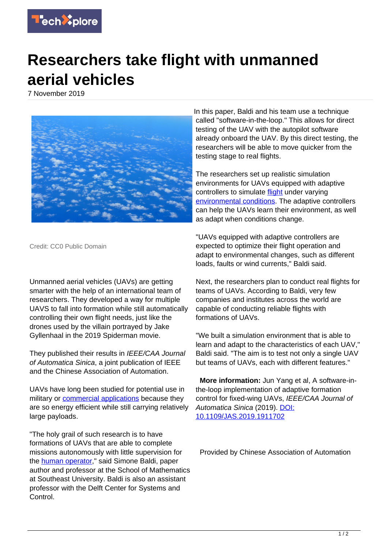

## **Researchers take flight with unmanned aerial vehicles**

7 November 2019



Credit: CC0 Public Domain

Unmanned aerial vehicles (UAVs) are getting smarter with the help of an international team of researchers. They developed a way for multiple UAVS to fall into formation while still automatically controlling their own flight needs, just like the drones used by the villain portrayed by Jake Gyllenhaal in the 2019 Spiderman movie.

They published their results in IEEE/CAA Journal of Automatica Sinica, a joint publication of IEEE and the Chinese Association of Automation.

UAVs have long been studied for potential use in military or [commercial applications](https://techxplore.com/tags/commercial+applications/) because they are so energy efficient while still carrying relatively large payloads.

"The holy grail of such research is to have formations of UAVs that are able to complete missions autonomously with little supervision for the **[human operator](https://techxplore.com/tags/human+operator/)**," said Simone Baldi, paper author and professor at the School of Mathematics at Southeast University. Baldi is also an assistant professor with the Delft Center for Systems and Control.

In this paper, Baldi and his team use a technique called "software-in-the-loop." This allows for direct testing of the UAV with the autopilot software already onboard the UAV. By this direct testing, the researchers will be able to move quicker from the testing stage to real flights.

The researchers set up realistic simulation environments for UAVs equipped with adaptive controllers to simulate **flight** under varying [environmental conditions](https://techxplore.com/tags/environmental+conditions/). The adaptive controllers can help the UAVs learn their environment, as well as adapt when conditions change.

"UAVs equipped with adaptive controllers are expected to optimize their flight operation and adapt to environmental changes, such as different loads, faults or wind currents," Baldi said.

Next, the researchers plan to conduct real flights for teams of UAVs. According to Baldi, very few companies and institutes across the world are capable of conducting reliable flights with formations of UAVs.

"We built a simulation environment that is able to learn and adapt to the characteristics of each UAV," Baldi said. "The aim is to test not only a single UAV but teams of UAVs, each with different features."

 **More information:** Jun Yang et al, A software-inthe-loop implementation of adaptive formation control for fixed-wing UAVs, IEEE/CAA Journal of Automatica Sinica (2019). [DOI:](http://dx.doi.org/10.1109/JAS.2019.1911702) [10.1109/JAS.2019.1911702](http://dx.doi.org/10.1109/JAS.2019.1911702)

Provided by Chinese Association of Automation